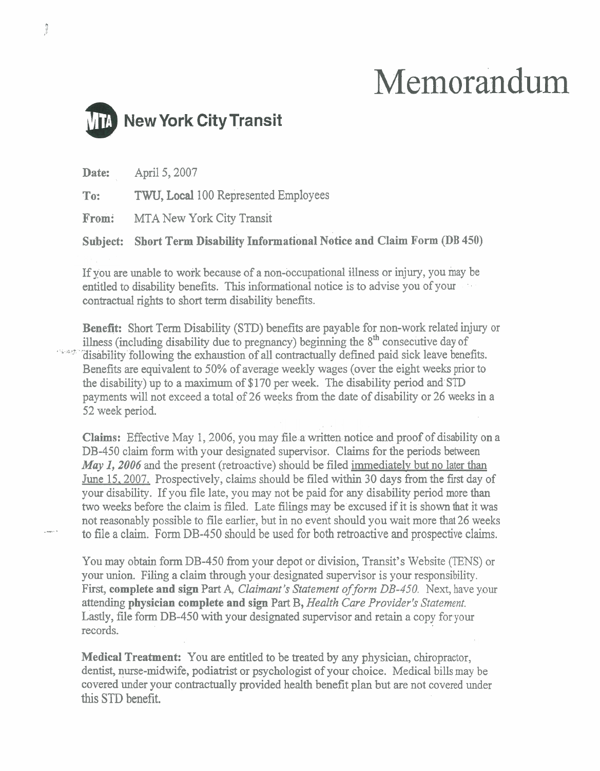# Memorandum



**Date:** April 5,2007 **To:** TWU, Local 100 Represented Employees **From:** MTA New York City Transit **Subject:** Short Term Disability Informational Notice and Claim Form (DB 450)

If you are unable to work because of a non-occupational illness or injury, you may be entitled to disability benefits. This informational notice is to advise you of your contractual rights to short term disability benefits.

**Benefit:** Short Term Disability (STD) benefits are payable for non-work related injury or illness (including disability due to pregnancy) beginning the  $8<sup>th</sup>$  consecutive day of <sup>166</sup> disability following the exhaustion of all contractually defined paid sick leave benefits. Benefits are equivalent to 50% of average weekly wages (over the eight weeks prior to the disability) up to a maximum of \$170 per week. The disability period and STD payments will not exceed a total of 26 weeks from the date of disability or 26 weeks in a 52 week period.

**Claims:** Effective May 1,2006, you may file a written notice and proof of disability on a DB-450 claim form with your designated supervisor. Claims for the periods between *May 1, 2006* and the present (retroactive) should be filed immediately but no later than June 15,2007. Prospectively, claims should be filed within 30 days from the first day of your disability. If you file late, you may not be paid for any disability period more than two weeks before the claim is filed. Late filings **may** be excused if it is shown that it was not reasonably possible to file earlier, but in no event should you wait more that 26 weeks to file a claim. Form DB-450 should be used for both retroactive and prospective claims.

You may obtain form DB-450 from your depot or division, Transit's Website (TENS) or your union. Filing a claim through your designated supervisor is your responsibility. First, **complete and sign Part A,** *Claimant's Statement of form DB-450.* Next, have your attending **physician complete and sign Part** B, *Health Care Provider's Statement.*  Lastly, file form DB-450 with your designated supervisor and retain a copy for your records.

**Medical Treatment:** You are entitled to be treated by any physician, chiropractor, dentist, nurse-midwife, podiatrist or psychologist of your choice. Medical bills may be covered under your contractually provided health benefit plan but are not covered under this STD benefit.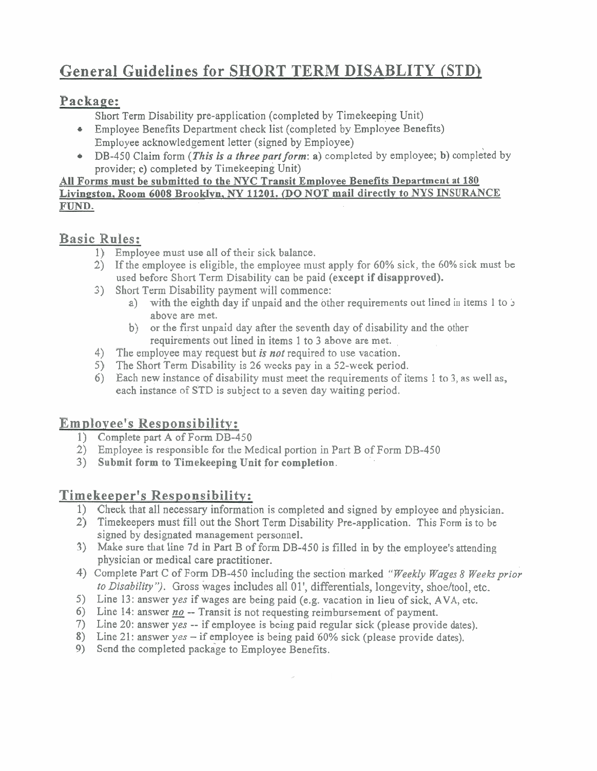## **General Guidelines for SHORT TERM DISABLITY (STD)**

### **Package:**

Short Term Disability pre-application (completed by Timekeeping Unit)

- Employee Benefits Department check list (completed by Employee Benefits)  $\bullet$ Employee acknowledgement letter (signed by Employee)
- DB-450 Claim form (This is *a three part form:* a) completed by employee; b) completed by  $\bullet$ provider; c) completed by Timekeeping Unit)

#### All Forms must be submitted to the **NYC** Transit Employee Benefits Department at **180**  Livingston, Room 6008 Brooklyn, NY 11201. (DO NOT mail directly to NYS INSURANCE FUND.

## **Basic Rules:**

- 1) Employee must use all of their sick balance.
- 2) If the employee is eligible, the employee must apply for 60% sick, the 60% sick must be used before Short Term Disability can be paid (except if disapproved).
- 3) Short Term Disability payment will commence:
	- a) with the eighth day if unpaid and the other requirements out lined in items 1 to J above are met.
	- b) or the first unpaid day after the seventh day of disability and the other requirements out lined in items 1 to **3** above are met.
- 4) The employee may request but *is not* required to use vacation.<br>5) The Short Term Disability is 26 weeks pay in a 52-week period
- 5) The Short Term Disability is 26 weeks pay in a 52-week period.<br>6) Each new instance of disability must meet the requirements of it
- 6) Each new instance of disability must meet the requirements of items 1 to **3,** as well as, each instance of STD is subject to a seven day waiting period.

## **Employee's Responsibility:**

- 1) Complete part **A** of Form DB-450
- 2) Employee is responsible for the Medical portion in Part B of Form DB-450
- 3) Submit form to Timekeeping Unit for completion.

## **Timekeeper's Responsibility:**

- 1) Check that all necessary information is completed and signed by employee and physician.
- 2) Timekeepers must fill out the Short Term Disability Pre-application. This Form is to be signed by designated management personnel.
- 3) Make sure that line 7d in Part B of form DB-450 is filled in by the employee's attending physician or medical care practitioner.
- 4) Complete Part C of Form DB-450 including the section-marked "Weekly Wages 8 Weeks prior to Disability"). Gross wages includes all 01', differentials, longevity, shoe/tool, etc.
- 5) Line 13: answer yes if wages are being paid (e.g. vacation in lieu of sick, AVA, etc.
- 6) Line 14: answer <u>no</u> -- Transit is not requesting reimbursement of payment.
- 7) Line 20: answer yes -- if employee is being paid regular sick (please provide dates).
- 8) Line 21: answer yes if employee is being paid 60% sick (please provide dates).
- 9) Send the completed package to Employee Benefits.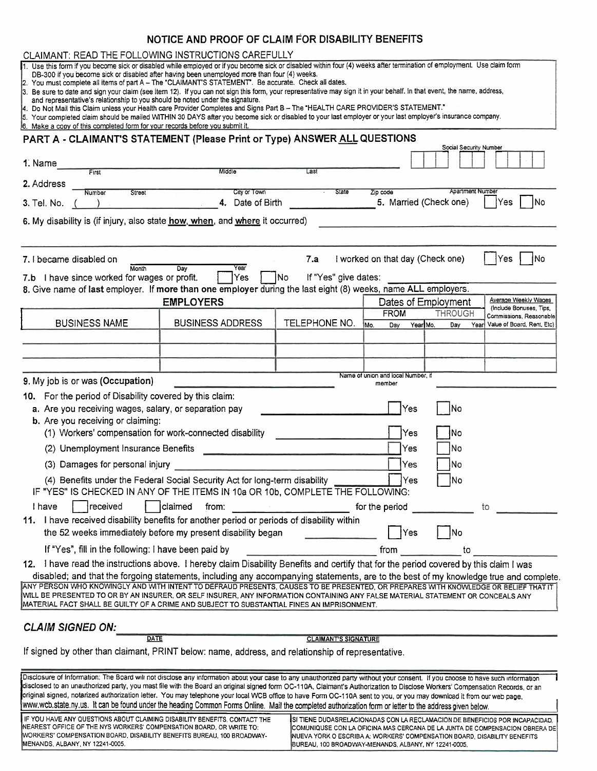#### **NOTICE AND PROOF OF CLAIM FOR DISABILITY BENEFITS**

| CLAIMANT: READ THE FOLLOWING INSTRUCTIONS CAREFULLY                                                                                                                                                                                                                                                                                                                                                                                                                                                                                                                                                                                                                                                                                                                                                                                                                                                                                                                                                                        |                                                                             |                                                                                                                                                         |                                    |                        |                                                                             |
|----------------------------------------------------------------------------------------------------------------------------------------------------------------------------------------------------------------------------------------------------------------------------------------------------------------------------------------------------------------------------------------------------------------------------------------------------------------------------------------------------------------------------------------------------------------------------------------------------------------------------------------------------------------------------------------------------------------------------------------------------------------------------------------------------------------------------------------------------------------------------------------------------------------------------------------------------------------------------------------------------------------------------|-----------------------------------------------------------------------------|---------------------------------------------------------------------------------------------------------------------------------------------------------|------------------------------------|------------------------|-----------------------------------------------------------------------------|
| 1. Use this form if you become sick or disabled while employed or if you become sick or disabled within four (4) weeks after termination of employment. Use claim form<br>DB-300 if you become sick or disabled after having been unemployed more than four (4) weeks.<br>2. You must complete all items of part A - The "CLAIMANT'S STATEMENT". Be accurate. Check all dates.<br>3. Be sure to date and sign your claim (see item 12). If you can not sign this form, your representative may sign it in your behalf. In that event, the name, address,<br>and representative's relationship to you should be noted under the signature.<br>4. Do Not Mail this Claim unless your Health care Provider Completes and Signs Part B - The "HEALTH CARE PROVIDER'S STATEMENT."<br>5. Your completed claim should be mailed WITHIN 30 DAYS after you become sick or disabled to your last employer or your last employer's insurance company.<br>6. Make a copy of this completed form for your records before you submit it. |                                                                             |                                                                                                                                                         |                                    |                        |                                                                             |
| PART A - CLAIMANT'S STATEMENT (Please Print or Type) ANSWER ALL QUESTIONS                                                                                                                                                                                                                                                                                                                                                                                                                                                                                                                                                                                                                                                                                                                                                                                                                                                                                                                                                  |                                                                             |                                                                                                                                                         |                                    | Social Security Number |                                                                             |
| 1. Name<br>First                                                                                                                                                                                                                                                                                                                                                                                                                                                                                                                                                                                                                                                                                                                                                                                                                                                                                                                                                                                                           | Middle                                                                      | Last                                                                                                                                                    |                                    |                        |                                                                             |
| 2. Address<br>Street<br>Number                                                                                                                                                                                                                                                                                                                                                                                                                                                                                                                                                                                                                                                                                                                                                                                                                                                                                                                                                                                             | City or Town                                                                | State                                                                                                                                                   | Zip code                           | Apartment Number       |                                                                             |
| 3. Tel. No.                                                                                                                                                                                                                                                                                                                                                                                                                                                                                                                                                                                                                                                                                                                                                                                                                                                                                                                                                                                                                | 4. Date of Birth                                                            |                                                                                                                                                         | 5. Married (Check one)             |                        | Yes<br>No                                                                   |
| 6. My disability is (if injury, also state how, when, and where it occurred)                                                                                                                                                                                                                                                                                                                                                                                                                                                                                                                                                                                                                                                                                                                                                                                                                                                                                                                                               |                                                                             |                                                                                                                                                         |                                    |                        |                                                                             |
| 7. I became disabled on<br>Month                                                                                                                                                                                                                                                                                                                                                                                                                                                                                                                                                                                                                                                                                                                                                                                                                                                                                                                                                                                           | Year<br>Dav                                                                 | 7.a                                                                                                                                                     | I worked on that day (Check one)   |                        | INo<br>Yes                                                                  |
| 7.b I have since worked for wages or profit.                                                                                                                                                                                                                                                                                                                                                                                                                                                                                                                                                                                                                                                                                                                                                                                                                                                                                                                                                                               | Yes                                                                         | If "Yes" give dates:<br> No                                                                                                                             |                                    |                        |                                                                             |
| 8. Give name of last employer. If more than one employer during the last eight (8) weeks, name ALL employers.                                                                                                                                                                                                                                                                                                                                                                                                                                                                                                                                                                                                                                                                                                                                                                                                                                                                                                              | <b>EMPLOYERS</b>                                                            |                                                                                                                                                         | Dates of Employment                |                        | Average Weekly Wages                                                        |
|                                                                                                                                                                                                                                                                                                                                                                                                                                                                                                                                                                                                                                                                                                                                                                                                                                                                                                                                                                                                                            |                                                                             |                                                                                                                                                         | <b>FROM</b>                        | <b>THROUGH</b>         | (Include Bonuses, Tips,<br>Commissions, Reasonable                          |
| <b>BUSINESS NAME</b>                                                                                                                                                                                                                                                                                                                                                                                                                                                                                                                                                                                                                                                                                                                                                                                                                                                                                                                                                                                                       | <b>BUSINESS ADDRESS</b>                                                     | TELEPHONE NO.                                                                                                                                           | Mo.<br>Year Mo.<br>Dav             | Day                    | Year Value of Board, Rent, Etc)                                             |
|                                                                                                                                                                                                                                                                                                                                                                                                                                                                                                                                                                                                                                                                                                                                                                                                                                                                                                                                                                                                                            |                                                                             |                                                                                                                                                         |                                    |                        |                                                                             |
|                                                                                                                                                                                                                                                                                                                                                                                                                                                                                                                                                                                                                                                                                                                                                                                                                                                                                                                                                                                                                            |                                                                             |                                                                                                                                                         |                                    |                        |                                                                             |
|                                                                                                                                                                                                                                                                                                                                                                                                                                                                                                                                                                                                                                                                                                                                                                                                                                                                                                                                                                                                                            |                                                                             |                                                                                                                                                         | Name of union and local Number, if |                        |                                                                             |
| 9. My job is or was (Occupation)                                                                                                                                                                                                                                                                                                                                                                                                                                                                                                                                                                                                                                                                                                                                                                                                                                                                                                                                                                                           |                                                                             |                                                                                                                                                         | member                             |                        |                                                                             |
| For the period of Disability covered by this claim:<br>10.<br>a. Are you receiving wages, salary, or separation pay<br>b. Are you receiving or claiming:<br>(1) Workers' compensation for work-connected disability                                                                                                                                                                                                                                                                                                                                                                                                                                                                                                                                                                                                                                                                                                                                                                                                        |                                                                             |                                                                                                                                                         | Yes<br>Yes                         | No<br>∤No              |                                                                             |
| (2) Unemployment Insurance Benefits                                                                                                                                                                                                                                                                                                                                                                                                                                                                                                                                                                                                                                                                                                                                                                                                                                                                                                                                                                                        |                                                                             |                                                                                                                                                         | Yes                                | lNo                    |                                                                             |
| (3) Damages for personal injury                                                                                                                                                                                                                                                                                                                                                                                                                                                                                                                                                                                                                                                                                                                                                                                                                                                                                                                                                                                            |                                                                             |                                                                                                                                                         | Yes                                | No                     |                                                                             |
| "YES" IS CHECKED IN ANY OF THE ITEMS IN 10a OR 10b, COMPLETE THE FOLLOWING:                                                                                                                                                                                                                                                                                                                                                                                                                                                                                                                                                                                                                                                                                                                                                                                                                                                                                                                                                | (4) Benefits under the Federal Social Security Act for long-term disability |                                                                                                                                                         | Yes                                | No                     |                                                                             |
| received<br>I have                                                                                                                                                                                                                                                                                                                                                                                                                                                                                                                                                                                                                                                                                                                                                                                                                                                                                                                                                                                                         | claimed<br>from:                                                            |                                                                                                                                                         | for the period                     |                        | to                                                                          |
| 11. I have received disability benefits for another period or periods of disability within                                                                                                                                                                                                                                                                                                                                                                                                                                                                                                                                                                                                                                                                                                                                                                                                                                                                                                                                 | the 52 weeks immediately before my present disability began                 |                                                                                                                                                         | Yes                                | No                     |                                                                             |
| If "Yes", fill in the following: I have been paid by                                                                                                                                                                                                                                                                                                                                                                                                                                                                                                                                                                                                                                                                                                                                                                                                                                                                                                                                                                       |                                                                             |                                                                                                                                                         |                                    |                        |                                                                             |
| 12. I have read the instructions above. I hereby claim Disability Benefits and certify that for the period covered by this claim I was                                                                                                                                                                                                                                                                                                                                                                                                                                                                                                                                                                                                                                                                                                                                                                                                                                                                                     |                                                                             |                                                                                                                                                         | from                               | to                     |                                                                             |
| disabled; and that the forgoing statements, including any accompanying statements, are to the best of my knowledge true and complete.<br>ANY PERSON WHO KNOWINGLY AND WITH INTENT TO DEFRAUD PRESENTS, CAUSES TO BE PRESENTED, OR PREPARES WITH KNOWLEDGE OR BELIEF THAT IT<br>WILL BE PRESENTED TO OR BY AN INSURER, OR SELF INSURER, ANY INFORMATION CONTAINING ANY FALSE MATERIAL STATEMENT OR CONCEALS ANY<br>MATERIAL FACT SHALL BE GUILTY OF A CRIME AND SUBJECT TO SUBSTANTIAL FINES AN IMPRISONMENT.                                                                                                                                                                                                                                                                                                                                                                                                                                                                                                               |                                                                             |                                                                                                                                                         |                                    |                        |                                                                             |
| <b>CLAIM SIGNED ON:</b>                                                                                                                                                                                                                                                                                                                                                                                                                                                                                                                                                                                                                                                                                                                                                                                                                                                                                                                                                                                                    |                                                                             |                                                                                                                                                         |                                    |                        |                                                                             |
| DATE<br>If signed by other than claimant, PRINT below: name, address, and relationship of representative.                                                                                                                                                                                                                                                                                                                                                                                                                                                                                                                                                                                                                                                                                                                                                                                                                                                                                                                  |                                                                             | <b>CLAIMANT'S SIGNATURE</b>                                                                                                                             |                                    |                        |                                                                             |
| Disclosure of Information: The Board will not disclose any information about your case to any unauthorized party without your consent. If you cnoose to have such information<br>disclosed to an unauthorized party, you mast file with the Board an original signed form OC-110A, Claimant's Authorization to Disclose Workers' Compensation Records, or an<br>original signed, notarized authorization letter. You may telephone your local WCB office to have Form OC-110A sent to you, or you may download it from our web page,<br>www.wcb.state.ny.us. It can be found under the heading Common Forms Online. Mail the completed authorization form or letter to the address given below.                                                                                                                                                                                                                                                                                                                            |                                                                             |                                                                                                                                                         |                                    |                        |                                                                             |
| IF YOU HAVE ANY QUESTIONS ABOUT CLAIMING DISABILITY BENEFITS, CONTACT THE<br>NEAREST OFFICE OF THE NYS WORKERS' COMPENSATION BOARD, OR WRITE TO:<br>WORKERS' COMPENSATION BOARD, DISABILITY BENEFITS BUREAU, 100 BROADWAY-                                                                                                                                                                                                                                                                                                                                                                                                                                                                                                                                                                                                                                                                                                                                                                                                 |                                                                             | SI TIENE DUDASRELACIONADAS CON LA RECLAMACION DE BENEFICIOS POR INCAPACIDAD<br>NUEVA YORK O ESCRIBA A: WORKERS' COMPENSATION BOARD, DISABILITY BENEFITS |                                    |                        | COMUNIQUSE CON LA OFICINA MAS CERCANA DE LA JUNTA DE COMPENSACION OBRERA DE |

**BUREAU.** 100 **BROADWAY-MENANDS. ALBANY, NY** 122410005.

**MENANDS, ALBANY, NY 12241-0005.**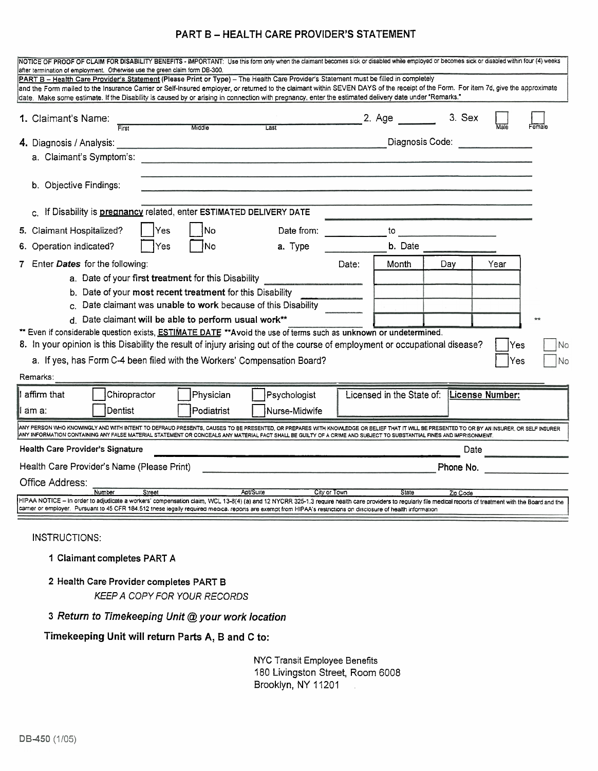#### **PART B** - **HEALTH CARE PROVIDER'S STATEMENT**

| NOTICE OF PROOF OF CLAIM FOR DISABILITY BENEFITS - IMPORTANT: Use this form only when the claimant becomes sick or disabled while employed or becomes sick or disabled within four (4) weeks<br>after termination of employment. Otherwise use the green claim form DB-300.<br>PART B - Health Care Provider's Statement (Please Print or Type) - The Health Care Provider's Statement must be filled in completely |        |            |                  |              |                                                                                                                                                                                                                               |          |                 |        |
|---------------------------------------------------------------------------------------------------------------------------------------------------------------------------------------------------------------------------------------------------------------------------------------------------------------------------------------------------------------------------------------------------------------------|--------|------------|------------------|--------------|-------------------------------------------------------------------------------------------------------------------------------------------------------------------------------------------------------------------------------|----------|-----------------|--------|
| and the Form mailed to the Insurance Carrier or Self-Insured employer, or returned to the claimant within SEVEN DAYS of the receipt of the Form. For item 7d, give the approximate<br>date. Make some estimate. If the Disability is caused by or arising in connection with pregnancy, enter the estimated delivery date under "Remarks."                                                                          |        |            |                  |              |                                                                                                                                                                                                                               |          |                 |        |
| 1. Claimant's Name:<br>First                                                                                                                                                                                                                                                                                                                                                                                        |        | Middle     | Last             |              | 2. Age                                                                                                                                                                                                                        | 3. Sex   | Male            | Female |
| 4. Diagnosis / Analysis:                                                                                                                                                                                                                                                                                                                                                                                            |        |            |                  |              | Diagnosis Code: Noted that the set of the set of the set of the set of the set of the set of the set of the set of the set of the set of the set of the set of the set of the set of the set of the set of the set of the set |          |                 |        |
| a. Claimant's Symptom's:                                                                                                                                                                                                                                                                                                                                                                                            |        |            |                  |              |                                                                                                                                                                                                                               |          |                 |        |
| b. Objective Findings:                                                                                                                                                                                                                                                                                                                                                                                              |        |            |                  |              |                                                                                                                                                                                                                               |          |                 |        |
| c. If Disability is pregnancy related, enter ESTIMATED DELIVERY DATE                                                                                                                                                                                                                                                                                                                                                |        |            |                  |              |                                                                                                                                                                                                                               |          |                 |        |
| 5. Claimant Hospitalized?                                                                                                                                                                                                                                                                                                                                                                                           | Yes    | No         | Date from:       |              | to                                                                                                                                                                                                                            |          |                 |        |
| 6. Operation indicated?                                                                                                                                                                                                                                                                                                                                                                                             | Yes    | INo.       | a. Type          |              | <b>b.</b> Date                                                                                                                                                                                                                |          |                 |        |
| 7 Enter Dates for the following:                                                                                                                                                                                                                                                                                                                                                                                    |        |            |                  | Date:        | Month                                                                                                                                                                                                                         | Day      | Year            |        |
| a. Date of your first treatment for this Disability                                                                                                                                                                                                                                                                                                                                                                 |        |            |                  |              |                                                                                                                                                                                                                               |          |                 |        |
| b. Date of your most recent treatment for this Disability                                                                                                                                                                                                                                                                                                                                                           |        |            |                  |              |                                                                                                                                                                                                                               |          |                 |        |
| c. Date claimant was unable to work because of this Disability                                                                                                                                                                                                                                                                                                                                                      |        |            |                  |              |                                                                                                                                                                                                                               |          |                 |        |
| d. Date claimant will be able to perform usual work**                                                                                                                                                                                                                                                                                                                                                               |        |            |                  |              |                                                                                                                                                                                                                               |          |                 |        |
| ** Even if considerable question exists, ESTIMATE DATE **Avoid the use of terms such as unknown or undetermined.<br>8. In your opinion is this Disability the result of injury arising out of the course of employment or occupational disease?                                                                                                                                                                     |        |            |                  |              |                                                                                                                                                                                                                               |          | Yes             | No     |
| a. If yes, has Form C-4 been filed with the Workers' Compensation Board?                                                                                                                                                                                                                                                                                                                                            |        |            |                  |              |                                                                                                                                                                                                                               |          | Yes             | No     |
| Remarks:                                                                                                                                                                                                                                                                                                                                                                                                            |        |            |                  |              |                                                                                                                                                                                                                               |          |                 |        |
| affirm that<br>Chiropractor                                                                                                                                                                                                                                                                                                                                                                                         |        | Physician  | Psychologist     |              | Licensed in the State of:                                                                                                                                                                                                     |          | License Number: |        |
| Dentist<br>am a:                                                                                                                                                                                                                                                                                                                                                                                                    |        | Podiatrist | Nurse-Midwife    |              |                                                                                                                                                                                                                               |          |                 |        |
| ANY PERSON WHO KNOWINGLY AND WITH INTENT TO DEFRAUD PRESENTS, CAUSES TO BE PRESENTED, OR PREPARES WITH KNOWLEDGE OR BELIEF THAT IT WILL BE PRESENTED TO OR BY AN INSURER, OR SELF INSURER<br>ANY INFORMATION CONTAINING ANY FALSE MATERIAL STATEMENT OR CONCEALS ANY MATERIAL FACT SHALL BE GUILTY OF A CRIME AND SUBJECT TO SUBSTANTIAL FINES AND IMPRISONMENT.                                                    |        |            |                  |              |                                                                                                                                                                                                                               |          |                 |        |
| <b>Health Care Provider's Signature</b>                                                                                                                                                                                                                                                                                                                                                                             |        |            |                  |              |                                                                                                                                                                                                                               | Date     |                 |        |
| Health Care Provider's Name (Please Print)<br>Phone No.                                                                                                                                                                                                                                                                                                                                                             |        |            |                  |              |                                                                                                                                                                                                                               |          |                 |        |
| Office Address:                                                                                                                                                                                                                                                                                                                                                                                                     |        |            |                  |              |                                                                                                                                                                                                                               |          |                 |        |
| Number<br>HIPAA NOTICE - In order to adjudicate a workers' compensation claim, WCL 13-8(4) (a) and 12 NYCRR 325-1.3 require health care providers to regularly file medical reports of treatment with the Board and the<br>carrier or employer. Pursuant to 45 CFR 184.512 these legally required medica, reports are exempt from HIPAA's restrictions on disclosure of health information                          | Street |            | <b>Apt/Suite</b> | City or Town | State                                                                                                                                                                                                                         | Zip Code |                 |        |
| INSTRUCTIONS:                                                                                                                                                                                                                                                                                                                                                                                                       |        |            |                  |              |                                                                                                                                                                                                                               |          |                 |        |

- 1 Claimant completes PART **A**
- 2 Health Care Provider completes PART B KEEP A COPY FOR YOUR RECORDS

#### **3 Return to Timekeeping Unit** @ **your work location**

#### **Timekeeping Unit will return Parts A, B and C to:**

NYC Transit Employee Benefits 180 Livingston Street, Room 6008 Brooklyn, NY 11201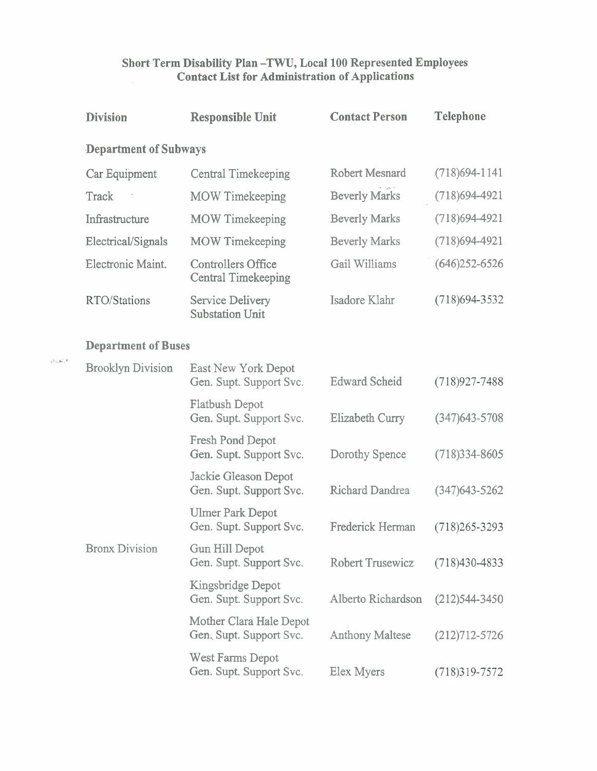#### **Short Term Disability Plan -TWU, Local 100 Represented Employees Contact List for Administration of Applications**

| <b>Division</b>            | <b>Responsible Unit</b>                                 | <b>Contact Person</b>   | <b>Telephone</b>  |  |
|----------------------------|---------------------------------------------------------|-------------------------|-------------------|--|
|                            | <b>Department of Subways</b>                            |                         |                   |  |
| Car Equipment              | <b>Central Timekeeping</b>                              | <b>Robert Mesnard</b>   | $(718)694-1141$   |  |
| Track                      | <b>MOW</b> Timekeeping                                  | <b>Beverly Marks</b>    | $(718)694-4921$   |  |
| Infrastructure             | <b>MOW</b> Timekeeping                                  | <b>Beverly Marks</b>    | $(718)694-4921$   |  |
| Electrical/Signals         | <b>MOW Timekeeping</b>                                  | <b>Beverly Marks</b>    | $(718)694-4921$   |  |
| Electronic Maint.          | <b>Controllers Office</b><br><b>Central Timekeeping</b> | Gail Williams           | $(646)$ 252-6526  |  |
| RTO/Stations               | <b>Service Delivery</b><br><b>Substation Unit</b>       | Isadore Klahr           | $(718)694 - 3532$ |  |
| <b>Department of Buses</b> |                                                         |                         |                   |  |
| <b>Brooklyn Division</b>   | East New York Depot<br>Gen. Supt. Support Svc.          | <b>Edward Scheid</b>    | $(718)927 - 7488$ |  |
|                            | <b>Flatbush Depot</b><br>Gen. Supt. Support Svc.        | <b>Elizabeth Curry</b>  | $(347)643 - 5708$ |  |
|                            | <b>Fresh Pond Depot</b><br>Gen. Supt. Support Svc.      | Dorothy Spence          | $(718)334 - 8605$ |  |
|                            | Jackie Gleason Depot<br>Gen. Supt. Support Svc.         | <b>Richard Dandrea</b>  | $(347)643 - 5262$ |  |
|                            | <b>Ulmer Park Depot</b><br>Gen. Supt. Support Svc.      | <b>Frederick Herman</b> | $(718)265 - 3293$ |  |
| <b>Bronx Division</b>      | Gun Hill Depot<br>Gen. Supt. Support Svc.               | <b>Robert Trusewicz</b> | $(718)430 - 4833$ |  |
|                            | Kingsbridge Depot<br>Gen. Supt. Support Svc.            | Alberto Richardson      | $(212)544 - 3450$ |  |
|                            | Mother Clara Hale Depot<br>Gen. Supt. Support Svc.      | <b>Anthony Maltese</b>  | $(212)712 - 5726$ |  |
|                            | West Farms Depot<br>Gen. Supt. Support Svc.             | Elex Myers              | $(718)319 - 7572$ |  |

\_ **L+**